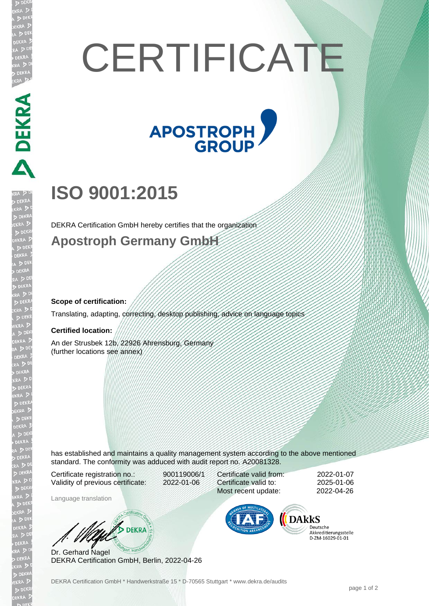# **CERTIFICATE**



# **ISO 9001:2015**

DEKRA Certification GmbH hereby certifies that the organization

### **Apostroph Germany GmbH**

#### **Scope of certification:**

Translating, adapting, correcting, desktop publishing, advice on language topics

#### **Certified location:**

PEKRA PEKRA

An der Strusbek 12b, 22926 Ahrensburg, Germany (further locations see annex)

has established and maintains a quality management system according to the above mentioned standard. The conformity was adduced with audit report no. A20081328.

Certificate registration no.: 900119006/1 Validity of previous certificate: 2022-01-06

Language translation

Certificate valid from: 2022-01-07 Certificate valid to: 2025-01-06 Most recent update: 2022-04-26



Deutsche Akkreditierungsstelle 

Dr. Gerhard Nagel DEKRA Certification GmbH, Berlin, 2022-04-26

W/ DEKRA